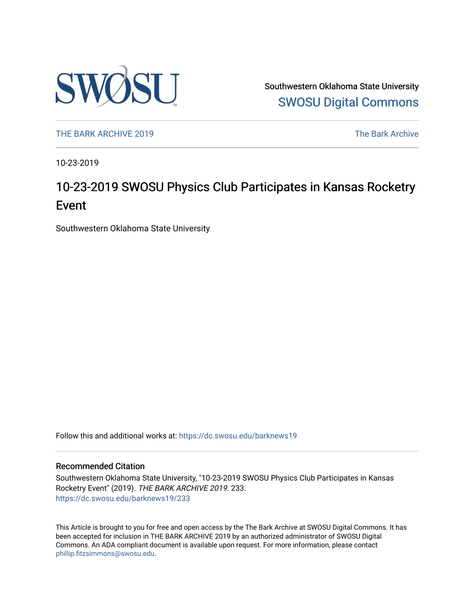

Southwestern Oklahoma State University [SWOSU Digital Commons](https://dc.swosu.edu/) 

[THE BARK ARCHIVE 2019](https://dc.swosu.edu/barknews19) The Bark Archive

10-23-2019

## 10-23-2019 SWOSU Physics Club Participates in Kansas Rocketry Event

Southwestern Oklahoma State University

Follow this and additional works at: [https://dc.swosu.edu/barknews19](https://dc.swosu.edu/barknews19?utm_source=dc.swosu.edu%2Fbarknews19%2F233&utm_medium=PDF&utm_campaign=PDFCoverPages)

#### Recommended Citation

Southwestern Oklahoma State University, "10-23-2019 SWOSU Physics Club Participates in Kansas Rocketry Event" (2019). THE BARK ARCHIVE 2019. 233. [https://dc.swosu.edu/barknews19/233](https://dc.swosu.edu/barknews19/233?utm_source=dc.swosu.edu%2Fbarknews19%2F233&utm_medium=PDF&utm_campaign=PDFCoverPages)

This Article is brought to you for free and open access by the The Bark Archive at SWOSU Digital Commons. It has been accepted for inclusion in THE BARK ARCHIVE 2019 by an authorized administrator of SWOSU Digital Commons. An ADA compliant document is available upon request. For more information, please contact [phillip.fitzsimmons@swosu.edu](mailto:phillip.fitzsimmons@swosu.edu).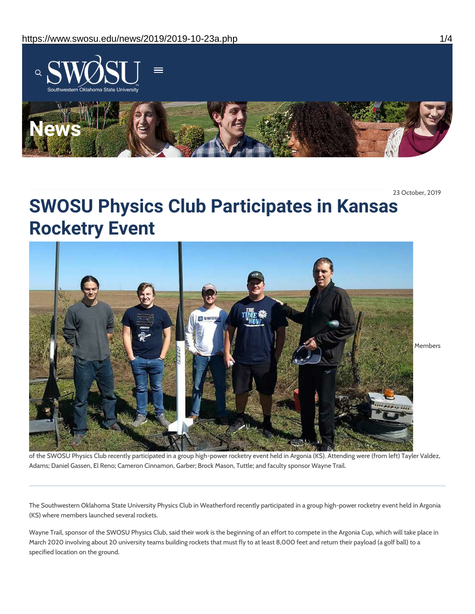

23 October, 2019

# **SWOSU Physics Club Participates in Kansas Rocketry Event**



of the SWOSU Physics Club recently participated in a group high-power rocketry event held in Argonia (KS). Attending were (from left) Tayler Valdez, Adams; Daniel Gassen, El Reno; Cameron Cinnamon, Garber; Brock Mason, Tuttle; and faculty sponsor Wayne Trail.

The Southwestern Oklahoma State University Physics Club in Weatherford recently participated in a group high-power rocketry event held in Argonia (KS) where members launched several rockets.

Wayne Trail, sponsor of the SWOSU Physics Club, said their work is the beginning of an effort to compete in the Argonia Cup, which will take place in March 2020 involving about 20 university teams building rockets that must fly to at least 8,000 feet and return their payload (a golf ball) to a specified location on the ground.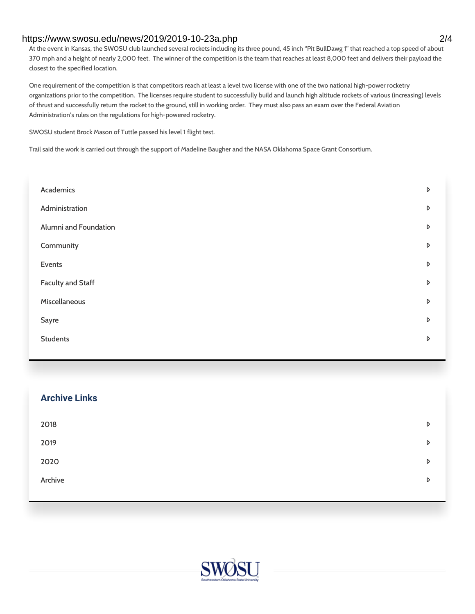#### https://www.swosu.edu/news/2019/2019-10-23a.php 2/4

At the event in Kansas, the SWOSU club launched several rockets including its three pound, 45 inch "Pit BullDawg 1" that reached a top speed of about 370 mph and a height of nearly 2,000 feet. The winner of the competition is the team that reaches at least 8,000 feet and delivers their payload the closest to the specified location.

One requirement of the competition is that competitors reach at least a level two license with one of the two national high-power rocketry organizations prior to the competition. The licenses require student to successfully build and launch high altitude rockets of various (increasing) levels of thrust and successfully return the rocket to the ground, still in working order. They must also pass an exam over the Federal Aviation Administration's rules on the regulations for high-powered rocketry.

SWOSU student Brock Mason of Tuttle passed his level 1 flight test.

Trail said the work is carried out through the support of Madeline Baugher and the NASA Oklahoma Space Grant Consortium.

| Academics                | D |
|--------------------------|---|
| Administration           | D |
| Alumni and Foundation    | D |
| Community                | D |
| Events                   | D |
| <b>Faculty and Staff</b> | D |
| Miscellaneous            | D |
| Sayre                    | D |
| <b>Students</b>          | D |
|                          |   |

| <b>Archive Links</b> |   |
|----------------------|---|
| 2018                 | D |
| 2019                 | D |
| 2020                 | D |
| Archive              | D |
|                      |   |

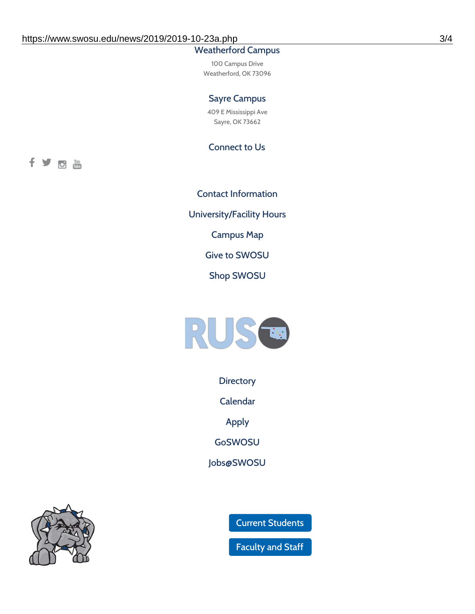### Weatherford Campus

100 Campus Drive Weatherford, OK 73096

#### Sayre Campus

409 E Mississippi Ave Sayre, OK 73662

Connect to Us

fyom

Contact [Information](https://www.swosu.edu/about/contact.php) [University/Facility](https://www.swosu.edu/about/operating-hours.php) Hours [Campus](https://map.concept3d.com/?id=768#!ct/10964,10214,10213,10212,10205,10204,10203,10202,10136,10129,10128,0,31226,10130,10201,10641,0) Map Give to [SWOSU](https://standingfirmly.com/donate) Shop [SWOSU](https://shopswosu.merchorders.com/)



**[Directory](https://www.swosu.edu/directory/index.php)** 

[Calendar](https://eventpublisher.dudesolutions.com/swosu/)

[Apply](https://www.swosu.edu/admissions/apply-to-swosu.php)

[GoSWOSU](https://qlsso.quicklaunchsso.com/home/1267)

[Jobs@SWOSU](https://swosu.csod.com/ux/ats/careersite/1/home?c=swosu)



Current [Students](https://bulldog.swosu.edu/index.php)

[Faculty](https://bulldog.swosu.edu/faculty-staff/index.php) and Staff